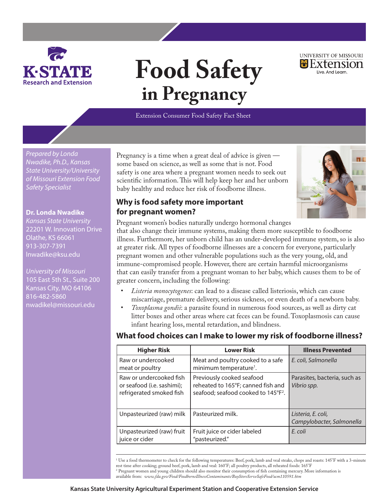

# **Food Safety in Pregnancy**

UNIVERSITY OF MISSOURI Extension Live, And Learn.

Extension Consumer Food Safety Fact Sheet

*Prepared by Londa Nwadike, Ph.D., Kansas State University/University of Missouri Extension Food Safety Specialist*

#### **Dr. Londa Nwadike**

*Kansas State University* 22201 W. Innovation Drive Olathe, KS 66061 913-307-7391 lnwadike@ksu.edu

*University of Missouri* 105 East 5th St., Suite 200 Kansas City, MO 64106 816-482-5860 nwadikel@missouri.edu

Pregnancy is a time when a great deal of advice is given some based on science, as well as some that is not. Food safety is one area where a pregnant women needs to seek out scientific information. This will help keep her and her unborn baby healthy and reduce her risk of foodborne illness.

## **Why is food safety more important for pregnant women?**



Pregnant women's bodies naturally undergo hormonal changes

that also change their immune systems, making them more susceptible to foodborne illness. Furthermore, her unborn child has an under-developed immune system, so is also at greater risk. All types of foodborne illnesses are a concern for everyone, particularly pregnant women and other vulnerable populations such as the very young, old, and immune-compromised people. However, there are certain harmful microorganisms that can easily transfer from a pregnant woman to her baby, which causes them to be of greater concern, including the following:

- Listeria monocytogenes: can lead to a disease called listeriosis, which can cause miscarriage, premature delivery, serious sickness, or even death of a newborn baby.
- Toxoplasma gondii: a parasite found in numerous food sources, as well as dirty cat litter boxes and other areas where cat feces can be found. Toxoplasmosis can cause infant hearing loss, mental retardation, and blindness.

### **What food choices can I make to lower my risk of foodborne illness?**

| <b>Higher Risk</b>                                                                | <b>Lower Risk</b>                                                                                                  | <b>Illness Prevented</b>                        |
|-----------------------------------------------------------------------------------|--------------------------------------------------------------------------------------------------------------------|-------------------------------------------------|
| Raw or undercooked<br>meat or poultry                                             | Meat and poultry cooked to a safe<br>minimum temperature <sup>1</sup> .                                            | E. coli, Salmonella                             |
| Raw or undercooked fish<br>or seafood (i.e. sashimi);<br>refrigerated smoked fish | Previously cooked seafood<br>reheated to 165°F; canned fish and<br>seafood; seafood cooked to 145°F <sup>2</sup> . | Parasites, bacteria, such as<br>Vibrio spp.     |
| Unpasteurized (raw) milk                                                          | Pasteurized milk.                                                                                                  | Listeria, E. coli,<br>Campylobacter, Salmonella |
| Unpasteurized (raw) fruit<br>juice or cider                                       | Fruit juice or cider labeled<br>"pasteurized."                                                                     | E. coli                                         |

1 Use a food thermometer to check for the following temperatures: Beef, pork, lamb and veal steaks, chops and roasts: 145°F with a 3-minute rest time after cooking; ground beef, pork, lamb and veal: 160°F; all poultry products, all reheated foods: 165°F 2 Pregnant women and young children should also monitor their consumption of fish containing mercury. More information is available from: *www.fda.gov/Food/FoodborneIllnessContaminants/BuyStoreServeSafeFood/ucm110591.htm*